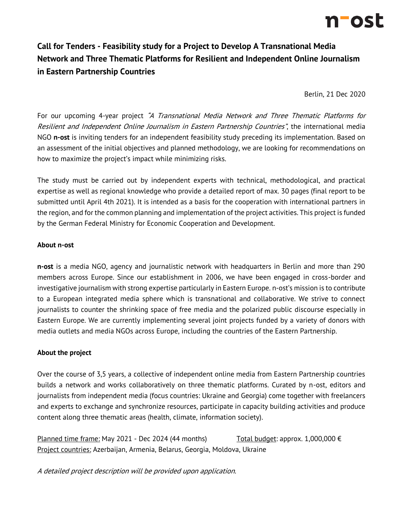

# **Call for Tenders - Feasibility study for a Project to Develop A Transnational Media Network and Three Thematic Platforms for Resilient and Independent Online Journalism in Eastern Partnership Countries**

Berlin, 21 Dec 2020

For our upcoming 4-year project "A Transnational Media Network and Three Thematic Platforms for Resilient and Independent Online Journalism in Eastern Partnership Countries", the international media NGO **n-ost** is inviting tenders for an independent feasibility study preceding its implementation. Based on an assessment of the initial objectives and planned methodology, we are looking for recommendations on how to maximize the project's impact while minimizing risks.

The study must be carried out by independent experts with technical, methodological, and practical expertise as well as regional knowledge who provide a detailed report of max. 30 pages (final report to be submitted until April 4th 2021). It is intended as a basis for the cooperation with international partners in the region, and for the common planning and implementation of the project activities. This project is funded by the German Federal Ministry for Economic Cooperation and Development.

#### **About n-ost**

**n-ost** is a media NGO, agency and journalistic network with headquarters in Berlin and more than 290 members across Europe. Since our establishment in 2006, we have been engaged in cross-border and investigative journalism with strong expertise particularly in Eastern Europe. n-ost's mission is to contribute to a European integrated media sphere which is transnational and collaborative. We strive to connect journalists to counter the shrinking space of free media and the polarized public discourse especially in Eastern Europe. We are currently implementing several joint projects funded by a variety of donors with media outlets and media NGOs across Europe, including the countries of the Eastern Partnership.

## **About the project**

Over the course of 3,5 years, a collective of independent online media from Eastern Partnership countries builds a network and works collaboratively on three thematic platforms. Curated by n-ost, editors and journalists from independent media (focus countries: Ukraine and Georgia) come together with freelancers and experts to exchange and synchronize resources, participate in capacity building activities and produce content along three thematic areas (health, climate, information society).

Planned time frame: May 2021 - Dec 2024 (44 months) Total budget: approx.  $1,000,000 \in$ Project countries: Azerbaijan, Armenia, Belarus, Georgia, Moldova, Ukraine

A detailed project description will be provided upon application.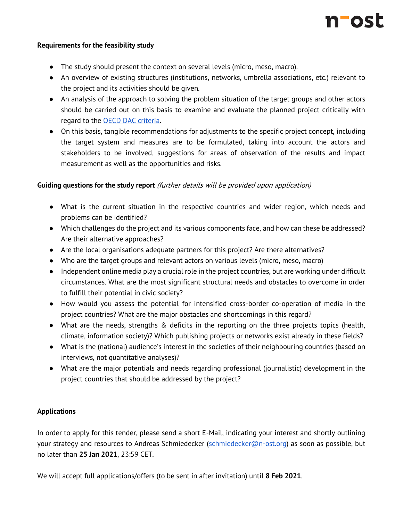

### **Requirements for the feasibility study**

- The study should present the context on several levels (micro, meso, macro).
- An overview of existing structures (institutions, networks, umbrella associations, etc.) relevant to the project and its activities should be given.
- An analysis of the approach to solving the problem situation of the target groups and other actors should be carried out on this basis to examine and evaluate the planned project critically with regard to the [OECD DAC criteria.](http://www.oecd.org/dac/evaluation/49756382.pdf)
- On this basis, tangible recommendations for adjustments to the specific project concept, including the target system and measures are to be formulated, taking into account the actors and stakeholders to be involved, suggestions for areas of observation of the results and impact measurement as well as the opportunities and risks.

## **Guiding questions for the study report** (further details will be provided upon application)

- What is the current situation in the respective countries and wider region, which needs and problems can be identified?
- Which challenges do the project and its various components face, and how can these be addressed? Are their alternative approaches?
- Are the local organisations adequate partners for this project? Are there alternatives?
- Who are the target groups and relevant actors on various levels (micro, meso, macro)
- Independent online media play a crucial role in the project countries, but are working under difficult circumstances. What are the most significant structural needs and obstacles to overcome in order to fulfill their potential in civic society?
- How would you assess the potential for intensified cross-border co-operation of media in the project countries? What are the major obstacles and shortcomings in this regard?
- What are the needs, strengths & deficits in the reporting on the three projects topics (health, climate, information society)? Which publishing projects or networks exist already in these fields?
- What is the (national) audience's interest in the societies of their neighbouring countries (based on interviews, not quantitative analyses)?
- What are the major potentials and needs regarding professional (journalistic) development in the project countries that should be addressed by the project?

## **Applications**

In order to apply for this tender, please send a short E-Mail, indicating your interest and shortly outlining your strategy and resources to Andreas Schmiedecker [\(schmiedecker@n-ost.org\)](mailto:schmiedecker@n-ost.org) as soon as possible, but no later than **25 Jan 2021**, 23:59 CET.

We will accept full applications/offers (to be sent in after invitation) until **8 Feb 2021**.